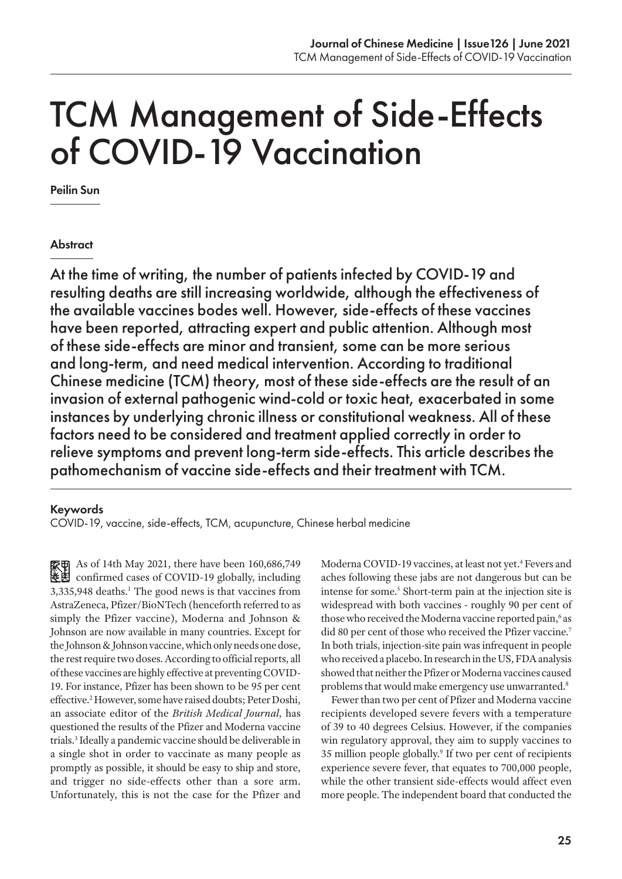# TCM Management of Side-Effects of COVID-19 Vaccination

Peilin Sun

#### **Abstract**

At the time of writing, the number of patients infected by COVID-19 and resulting deaths are still increasing worldwide, although the effectiveness of the available vaccines bodes well. However, side-effects of these vaccines have been reported, attracting expert and public attention. Although most of these side-effects are minor and transient, some can be more serious and long-term, and need medical intervention. According to traditional Chinese medicine (TCM) theory, most of these side-effects are the result of an invasion of external pathogenic wind-cold or toxic heat, exacerbated in some instances by underlying chronic illness or constitutional weakness. All of these factors need to be considered and treatment applied correctly in order to relieve symptoms and prevent long-term side-effects. This article describes the pathomechanism of vaccine side-effects and their treatment with TCM.

#### Keywords

COVID-19, vaccine, side-effects, TCM, acupuncture, Chinese herbal medicine

As of 14th May 2021, there have been 160,686,749 confirmed cases of COVID-19 globally, including 3,335,948 deaths.<sup>1</sup> The good news is that vaccines from AstraZeneca, Pfizer/BioNTech (henceforth referred to as simply the Pfizer vaccine), Moderna and Johnson & Johnson are now available in many countries. Except for the Johnson & Johnson vaccine, which only needs one dose, the rest require two doses. According to official reports, all of these vaccines are highly effective at preventing COVID-19. For instance, Pfizer has been shown to be 95 per cent effective.2 However, some have raised doubts; Peter Doshi, an associate editor of the *British Medical Journal*, has questioned the results of the Pfizer and Moderna vaccine trials.3 Ideally a pandemic vaccine should be deliverable in a single shot in order to vaccinate as many people as promptly as possible, it should be easy to ship and store, and trigger no side-effects other than a sore arm. Unfortunately, this is not the case for the Pfizer and

Moderna COVID-19 vaccines, at least not yet.<sup>4</sup> Fevers and aches following these jabs are not dangerous but can be intense for some.<sup>5</sup> Short-term pain at the injection site is widespread with both vaccines - roughly 90 per cent of those who received the Moderna vaccine reported pain,<sup>6</sup> as did 80 per cent of those who received the Pfizer vaccine.<sup>7</sup> In both trials, injection-site pain was infrequent in people who received a placebo. In research in the US, FDA analysis showed that neither the Pfizer or Moderna vaccines caused problems that would make emergency use unwarranted.<sup>8</sup>

Fewer than two per cent of Pfizer and Moderna vaccine recipients developed severe fevers with a temperature of 39 to 40 degrees Celsius. However, if the companies win regulatory approval, they aim to supply vaccines to 35 million people globally.<sup>9</sup> If two per cent of recipients experience severe fever, that equates to 700,000 people, while the other transient side-effects would affect even more people. The independent board that conducted the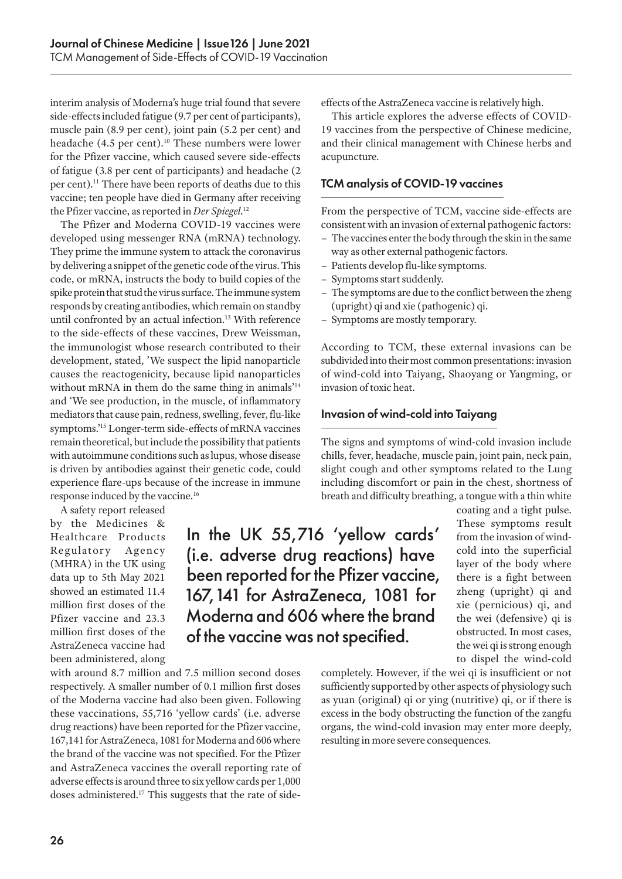interim analysis of Moderna's huge trial found that severe side-effects included fatigue (9.7 per cent of participants), muscle pain (8.9 per cent), joint pain (5.2 per cent) and headache (4.5 per cent).<sup>10</sup> These numbers were lower for the Pfizer vaccine, which caused severe side-effects of fatigue (3.8 per cent of participants) and headache (2 per cent).<sup>11</sup> There have been reports of deaths due to this vaccine; ten people have died in Germany after receiving the Pfizer vaccine, as reported in *Der Spiegel*. 12

The Pfizer and Moderna COVID-19 vaccines were developed using messenger RNA (mRNA) technology. They prime the immune system to attack the coronavirus by delivering a snippet of the genetic code of the virus. This code, or mRNA, instructs the body to build copies of the spike protein that stud the virus surface. The immune system responds by creating antibodies, which remain on standby until confronted by an actual infection.<sup>13</sup> With reference to the side-effects of these vaccines, Drew Weissman, the immunologist whose research contributed to their development, stated, 'We suspect the lipid nanoparticle causes the reactogenicity, because lipid nanoparticles without mRNA in them do the same thing in animals<sup>'14</sup> and 'We see production, in the muscle, of inflammatory mediators that cause pain, redness, swelling, fever, flu-like symptoms.'15 Longer-term side-effects of mRNA vaccines remain theoretical, but include the possibility that patients with autoimmune conditions such as lupus, whose disease is driven by antibodies against their genetic code, could experience flare-ups because of the increase in immune response induced by the vaccine.16

with around 8.7 million and 7.5 million second doses respectively. A smaller number of 0.1 million first doses of the Moderna vaccine had also been given. Following these vaccinations, 55,716 'yellow cards' (i.e. adverse drug reactions) have been reported for the Pfizer vaccine, 167,141 for AstraZeneca, 1081 for Moderna and 606 where the brand of the vaccine was not specified. For the Pfizer and AstraZeneca vaccines the overall reporting rate of adverse effects is around three to six yellow cards per 1,000 doses administered.17 This suggests that the rate of side-

A safety report released by the Medicines & Healthcare Products Regulatory Agency (MHRA) in the UK using data up to 5th May 2021 showed an estimated 11.4 million first doses of the Pfizer vaccine and 23.3 million first doses of the AstraZeneca vaccine had been administered, along

In the UK 55,716 'yellow cards' (i.e. adverse drug reactions) have been reported for the Pfizer vaccine, 167,141 for AstraZeneca, 1081 for Moderna and 606 where the brand of the vaccine was not specified.

effects of the AstraZeneca vaccine is relatively high.

This article explores the adverse effects of COVID-19 vaccines from the perspective of Chinese medicine, and their clinical management with Chinese herbs and acupuncture.

#### TCM analysis of COVID-19 vaccines

From the perspective of TCM, vaccine side-effects are consistent with an invasion of external pathogenic factors:

- The vaccines enter the body through the skin in the same way as other external pathogenic factors.
- Patients develop flu-like symptoms.
- Symptoms start suddenly.
- The symptoms are due to the conflict between the zheng (upright) qi and xie (pathogenic) qi.
- Symptoms are mostly temporary.

According to TCM, these external invasions can be subdivided into their most common presentations: invasion of wind-cold into Taiyang, Shaoyang or Yangming, or invasion of toxic heat.

#### Invasion of wind-cold into Taiyang

The signs and symptoms of wind-cold invasion include chills, fever, headache, muscle pain, joint pain, neck pain, slight cough and other symptoms related to the Lung including discomfort or pain in the chest, shortness of breath and difficulty breathing, a tongue with a thin white

> coating and a tight pulse. These symptoms result from the invasion of windcold into the superficial layer of the body where there is a fight between zheng (upright) qi and xie (pernicious) qi, and the wei (defensive) qi is obstructed. In most cases, the wei qi is strong enough to dispel the wind-cold

completely. However, if the wei qi is insufficient or not sufficiently supported by other aspects of physiology such as yuan (original) qi or ying (nutritive) qi, or if there is excess in the body obstructing the function of the zangfu organs, the wind-cold invasion may enter more deeply, resulting in more severe consequences.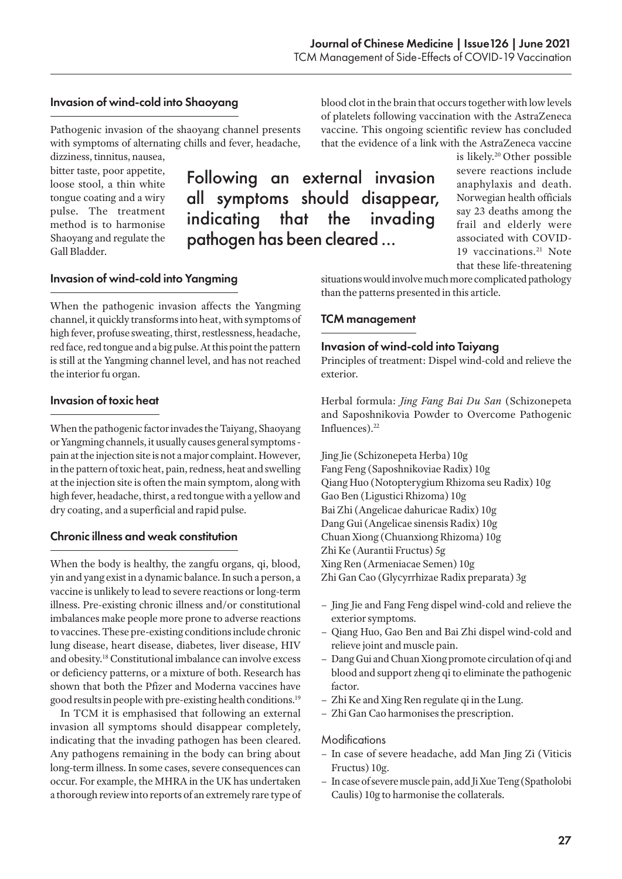blood clot in the brain that occurs together with low levels of platelets following vaccination with the AstraZeneca

#### Invasion of wind-cold into Shaoyang

Invasion of wind-cold into Yangming

Pathogenic invasion of the shaoyang channel presents with symptoms of alternating chills and fever, headache,

dizziness, tinnitus, nausea, bitter taste, poor appetite, loose stool, a thin white tongue coating and a wiry pulse. The treatment method is to harmonise Shaoyang and regulate the Gall Bladder.

Following an external invasion all symptoms should disappear, indicating that the invading pathogen has been cleared ...

that the evidence of a link with the AstraZeneca vaccine is likely.20 Other possible severe reactions include anaphylaxis and death. Norwegian health officials say 23 deaths among the frail and elderly were associated with COVID-

19 vaccinations.<sup>21</sup> Note

that these life-threatening situations would involve much more complicated pathology than the patterns presented in this article.

#### TCM management

#### Invasion of wind-cold into Taiyang

Principles of treatment: Dispel wind-cold and relieve the exterior.

Herbal formula: *Jing Fang Bai Du San* (Schizonepeta and Saposhnikovia Powder to Overcome Pathogenic Influences).<sup>22</sup>

Jing Jie (Schizonepeta Herba) 10g Fang Feng (Saposhnikoviae Radix) 10g Qiang Huo (Notopterygium Rhizoma seu Radix) 10g Gao Ben (Ligustici Rhizoma) 10g Bai Zhi (Angelicae dahuricae Radix) 10g Dang Gui (Angelicae sinensis Radix) 10g Chuan Xiong (Chuanxiong Rhizoma) 10g Zhi Ke (Aurantii Fructus) 5g Xing Ren (Armeniacae Semen) 10g Zhi Gan Cao (Glycyrrhizae Radix preparata) 3g

- Jing Jie and Fang Feng dispel wind-cold and relieve the exterior symptoms.
- Qiang Huo, Gao Ben and Bai Zhi dispel wind-cold and relieve joint and muscle pain.
- Dang Gui and Chuan Xiong promote circulation of qi and blood and support zheng qi to eliminate the pathogenic factor.
- Zhi Ke and Xing Ren regulate qi in the Lung.
- Zhi Gan Cao harmonises the prescription.

#### **Modifications**

- In case of severe headache, add Man Jing Zi (Viticis Fructus) 10g.
- In case of severe muscle pain, add Ji Xue Teng (Spatholobi Caulis) 10g to harmonise the collaterals.

### Invasion of toxic heat

the interior fu organ.

When the pathogenic factor invades the Taiyang, Shaoyang or Yangming channels, it usually causes general symptoms pain at the injection site is not a major complaint. However, in the pattern of toxic heat, pain, redness, heat and swelling at the injection site is often the main symptom, along with high fever, headache, thirst, a red tongue with a yellow and dry coating, and a superficial and rapid pulse.

When the pathogenic invasion affects the Yangming channel, it quickly transforms into heat, with symptoms of high fever, profuse sweating, thirst, restlessness, headache, red face, red tongue and a big pulse. At this point the pattern is still at the Yangming channel level, and has not reached

#### Chronic illness and weak constitution

When the body is healthy, the zangfu organs, qi, blood, yin and yang exist in a dynamic balance. In such a person, a vaccine is unlikely to lead to severe reactions or long-term illness. Pre-existing chronic illness and/or constitutional imbalances make people more prone to adverse reactions to vaccines. These pre-existing conditions include chronic lung disease, heart disease, diabetes, liver disease, HIV and obesity.18 Constitutional imbalance can involve excess or deficiency patterns, or a mixture of both. Research has shown that both the Pfizer and Moderna vaccines have good results in people with pre-existing health conditions.19

In TCM it is emphasised that following an external invasion all symptoms should disappear completely, indicating that the invading pathogen has been cleared. Any pathogens remaining in the body can bring about long-term illness. In some cases, severe consequences can occur. For example, the MHRA in the UK has undertaken a thorough review into reports of an extremely rare type of

## vaccine. This ongoing scientific review has concluded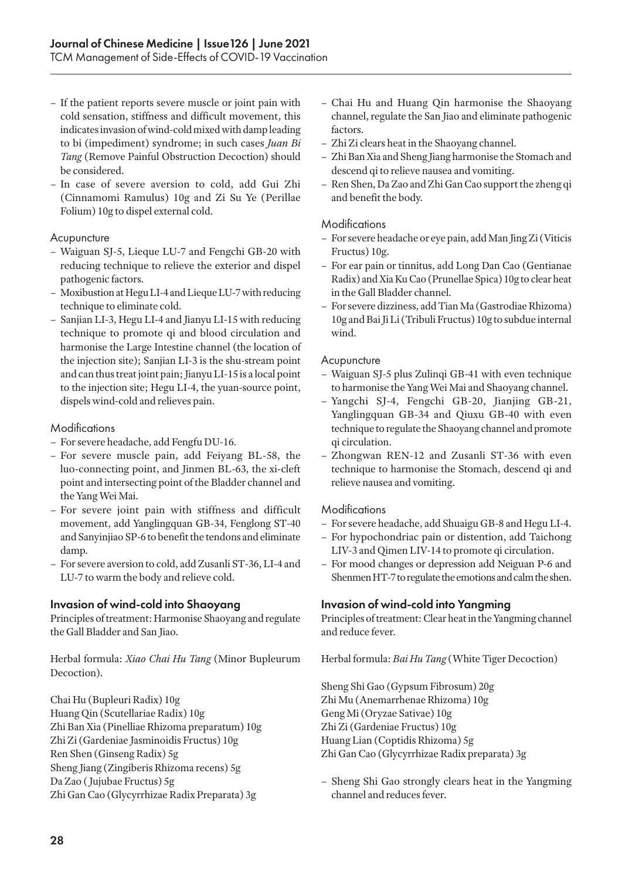- If the patient reports severe muscle or joint pain with cold sensation, stiffness and difficult movement, this indicates invasion of wind-cold mixed with damp leading to bi (impediment) syndrome; in such cases *Juan Bi Tang* (Remove Painful Obstruction Decoction) should be considered.
- In case of severe aversion to cold, add Gui Zhi (Cinnamomi Ramulus) 10g and Zi Su Ye (Perillae Folium) 10g to dispel external cold.

#### **Acupuncture**

- Waiguan SJ-5, Lieque LU-7 and Fengchi GB-20 with reducing technique to relieve the exterior and dispel pathogenic factors.
- Moxibustion at Hegu LI-4 and Lieque LU-7 with reducing technique to eliminate cold.
- Sanjian LI-3, Hegu LI-4 and Jianyu LI-15 with reducing technique to promote qi and blood circulation and harmonise the Large Intestine channel (the location of the injection site); Sanjian LI-3 is the shu-stream point and can thus treat joint pain; Jianyu LI-15 is a local point to the injection site; Hegu LI-4, the yuan-source point, dispels wind-cold and relieves pain.

#### Modifications

- For severe headache, add Fengfu DU-16.
- For severe muscle pain, add Feiyang BL-58, the luo-connecting point, and Jinmen BL-63, the xi-cleft point and intersecting point of the Bladder channel and the Yang Wei Mai.
- For severe joint pain with stiffness and difficult movement, add Yanglingquan GB-34, Fenglong ST-40 and Sanyinjiao SP-6 to benefit the tendons and eliminate damp.
- For severe aversion to cold, add Zusanli ST-36, LI-4 and LU-7 to warm the body and relieve cold.

#### Invasion of wind-cold into Shaoyang

Principles of treatment: Harmonise Shaoyang and regulate the Gall Bladder and San Jiao.

Herbal formula: *Xiao Chai Hu Tang* (Minor Bupleurum Decoction).

Chai Hu (Bupleuri Radix) 10g Huang Qin (Scutellariae Radix) 10g Zhi Ban Xia (Pinelliae Rhizoma preparatum) 10g Zhi Zi (Gardeniae Jasminoidis Fructus) 10g Ren Shen (Ginseng Radix) 5g Sheng Jiang (Zingiberis Rhizoma recens) 5g Da Zao ( Jujubae Fructus) 5g Zhi Gan Cao (Glycyrrhizae Radix Preparata) 3g

- Chai Hu and Huang Qin harmonise the Shaoyang channel, regulate the San Jiao and eliminate pathogenic factors.
- Zhi Zi clears heat in the Shaoyang channel.
- Zhi Ban Xia and Sheng Jiang harmonise the Stomach and descend qi to relieve nausea and vomiting.
- Ren Shen, Da Zao and Zhi Gan Cao support the zheng qi and benefit the body.

#### **Modifications**

- For severe headache or eye pain, add Man Jing Zi (Viticis Fructus) 10g.
- For ear pain or tinnitus, add Long Dan Cao (Gentianae Radix) and Xia Ku Cao (Prunellae Spica) 10g to clear heat in the Gall Bladder channel.
- For severe dizziness, add Tian Ma (Gastrodiae Rhizoma) 10g and Bai Ji Li (Tribuli Fructus) 10g to subdue internal wind.

#### **Acupuncture**

- Waiguan SJ-5 plus Zulinqi GB-41 with even technique to harmonise the Yang Wei Mai and Shaoyang channel.
- Yangchi SJ-4, Fengchi GB-20, Jianjing GB-21, Yanglingquan GB-34 and Qiuxu GB-40 with even technique to regulate the Shaoyang channel and promote qi circulation.
- Zhongwan REN-12 and Zusanli ST-36 with even technique to harmonise the Stomach, descend qi and relieve nausea and vomiting.

#### Modifications

- For severe headache, add Shuaigu GB-8 and Hegu LI-4.
- For hypochondriac pain or distention, add Taichong LIV-3 and Qimen LIV-14 to promote qi circulation.
- For mood changes or depression add Neiguan P-6 and Shenmen HT-7 to regulate the emotions and calm the shen.

#### Invasion of wind-cold into Yangming

Principles of treatment: Clear heat in the Yangming channel and reduce fever.

Herbal formula: *Bai Hu Tang* (White Tiger Decoction)

Sheng Shi Gao (Gypsum Fibrosum) 20g Zhi Mu (Anemarrhenae Rhizoma) 10g Geng Mi (Oryzae Sativae) 10g Zhi Zi (Gardeniae Fructus) 10g Huang Lian (Coptidis Rhizoma) 5g Zhi Gan Cao (Glycyrrhizae Radix preparata) 3g

– Sheng Shi Gao strongly clears heat in the Yangming channel and reduces fever.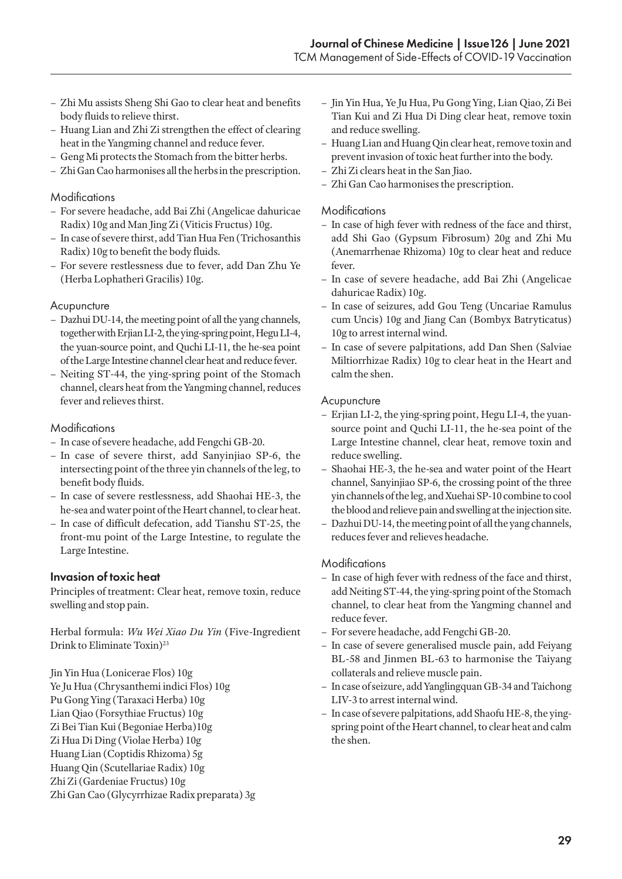- Zhi Mu assists Sheng Shi Gao to clear heat and benefits body fluids to relieve thirst.
- Huang Lian and Zhi Zi strengthen the effect of clearing heat in the Yangming channel and reduce fever.
- Geng Mi protects the Stomach from the bitter herbs.
- Zhi Gan Cao harmonises all the herbs in the prescription.

#### **Modifications**

- For severe headache, add Bai Zhi (Angelicae dahuricae Radix) 10g and Man Jing Zi (Viticis Fructus) 10g.
- In case of severe thirst, add Tian Hua Fen (Trichosanthis Radix) 10g to benefit the body fluids.
- For severe restlessness due to fever, add Dan Zhu Ye (Herba Lophatheri Gracilis) 10g.

#### Acupuncture

- Dazhui DU-14, the meeting point of all the yang channels, together with Erjian LI-2, the ying-spring point, Hegu LI-4, the yuan-source point, and Quchi LI-11, the he-sea point of the Large Intestine channel clear heat and reduce fever.
- Neiting ST-44, the ying-spring point of the Stomach channel, clears heat from the Yangming channel, reduces fever and relieves thirst.

#### Modifications

- In case of severe headache, add Fengchi GB-20.
- In case of severe thirst, add Sanyinjiao SP-6, the intersecting point of the three yin channels of the leg, to benefit body fluids.
- In case of severe restlessness, add Shaohai HE-3, the he-sea and water point of the Heart channel, to clear heat.
- In case of difficult defecation, add Tianshu ST-25, the front-mu point of the Large Intestine, to regulate the Large Intestine.

#### Invasion of toxic heat

Principles of treatment: Clear heat, remove toxin, reduce swelling and stop pain.

Herbal formula: *Wu Wei Xiao Du Yin* (Five-Ingredient Drink to Eliminate Toxin)<sup>23</sup>

Jin Yin Hua (Lonicerae Flos) 10g Ye Ju Hua (Chrysanthemi indici Flos) 10g Pu Gong Ying (Taraxaci Herba) 10g Lian Qiao (Forsythiae Fructus) 10g Zi Bei Tian Kui (Begoniae Herba)10g Zi Hua Di Ding (Violae Herba) 10g Huang Lian (Coptidis Rhizoma) 5g Huang Qin (Scutellariae Radix) 10g Zhi Zi (Gardeniae Fructus) 10g Zhi Gan Cao (Glycyrrhizae Radix preparata) 3g

- Jin Yin Hua, Ye Ju Hua, Pu Gong Ying, Lian Qiao, Zi Bei Tian Kui and Zi Hua Di Ding clear heat, remove toxin and reduce swelling.
- Huang Lian and Huang Qin clear heat, remove toxin and prevent invasion of toxic heat further into the body.
- Zhi Zi clears heat in the San Jiao.
- Zhi Gan Cao harmonises the prescription.

#### Modifications

- In case of high fever with redness of the face and thirst, add Shi Gao (Gypsum Fibrosum) 20g and Zhi Mu (Anemarrhenae Rhizoma) 10g to clear heat and reduce fever.
- In case of severe headache, add Bai Zhi (Angelicae dahuricae Radix) 10g.
- In case of seizures, add Gou Teng (Uncariae Ramulus cum Uncis) 10g and Jiang Can (Bombyx Batryticatus) 10g to arrest internal wind.
- In case of severe palpitations, add Dan Shen (Salviae Miltiorrhizae Radix) 10g to clear heat in the Heart and calm the shen.

#### **Acupuncture**

- Erjian LI-2, the ying-spring point, Hegu LI-4, the yuansource point and Quchi LI-11, the he-sea point of the Large Intestine channel, clear heat, remove toxin and reduce swelling.
- Shaohai HE-3, the he-sea and water point of the Heart channel, Sanyinjiao SP-6, the crossing point of the three yin channels of the leg, and Xuehai SP-10 combine to cool the blood and relieve pain and swelling at the injection site.
- Dazhui DU-14, the meeting point of all the yang channels, reduces fever and relieves headache.

#### Modifications

- In case of high fever with redness of the face and thirst, add Neiting ST-44, the ying-spring point of the Stomach channel, to clear heat from the Yangming channel and reduce fever.
- For severe headache, add Fengchi GB-20.
- In case of severe generalised muscle pain, add Feiyang BL-58 and Jinmen BL-63 to harmonise the Taiyang collaterals and relieve muscle pain.
- In case of seizure, add Yanglingquan GB-34 and Taichong LIV-3 to arrest internal wind.
- In case of severe palpitations, add Shaofu HE-8, the yingspring point of the Heart channel, to clear heat and calm the shen.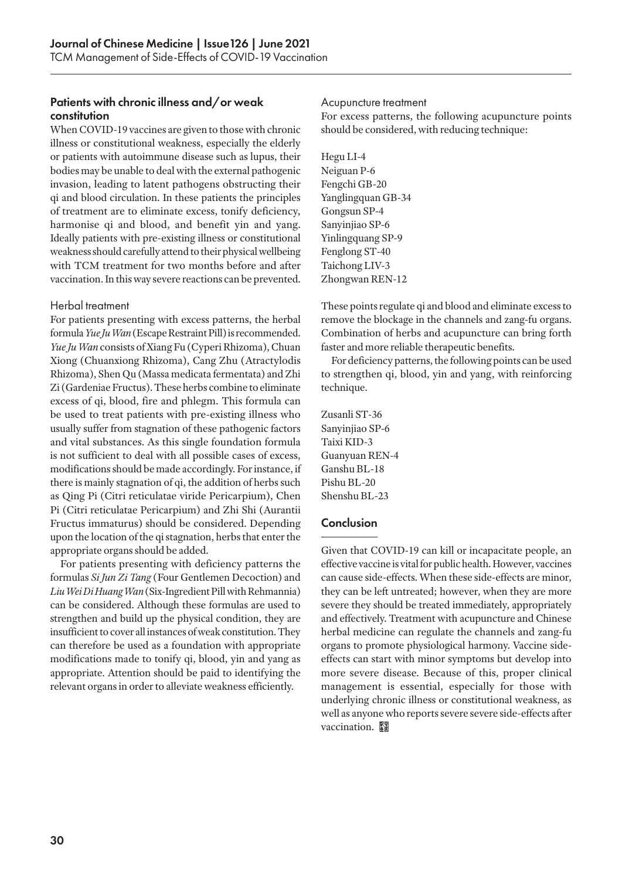#### Patients with chronic illness and/or weak constitution

When COVID-19 vaccines are given to those with chronic illness or constitutional weakness, especially the elderly or patients with autoimmune disease such as lupus, their bodies may be unable to deal with the external pathogenic invasion, leading to latent pathogens obstructing their qi and blood circulation. In these patients the principles of treatment are to eliminate excess, tonify deficiency, harmonise qi and blood, and benefit yin and yang. Ideally patients with pre-existing illness or constitutional weakness should carefully attend to their physical wellbeing with TCM treatment for two months before and after vaccination. In this way severe reactions can be prevented.

#### Herbal treatment

For patients presenting with excess patterns, the herbal formula *Yue Ju Wan* (Escape Restraint Pill) is recommended. *Yue Ju Wan* consists of Xiang Fu (Cyperi Rhizoma), Chuan Xiong (Chuanxiong Rhizoma), Cang Zhu (Atractylodis Rhizoma), Shen Qu (Massa medicata fermentata) and Zhi Zi (Gardeniae Fructus). These herbs combine to eliminate excess of qi, blood, fire and phlegm. This formula can be used to treat patients with pre-existing illness who usually suffer from stagnation of these pathogenic factors and vital substances. As this single foundation formula is not sufficient to deal with all possible cases of excess, modifications should be made accordingly. For instance, if there is mainly stagnation of qi, the addition of herbs such as Qing Pi (Citri reticulatae viride Pericarpium), Chen Pi (Citri reticulatae Pericarpium) and Zhi Shi (Aurantii Fructus immaturus) should be considered. Depending upon the location of the qi stagnation, herbs that enter the appropriate organs should be added.

For patients presenting with deficiency patterns the formulas *Si Jun Zi Tang* (Four Gentlemen Decoction) and *Liu Wei Di Huang Wan* (Six-Ingredient Pill with Rehmannia) can be considered. Although these formulas are used to strengthen and build up the physical condition, they are insufficient to cover all instances of weak constitution. They can therefore be used as a foundation with appropriate modifications made to tonify qi, blood, yin and yang as appropriate. Attention should be paid to identifying the relevant organs in order to alleviate weakness efficiently.

#### Acupuncture treatment

For excess patterns, the following acupuncture points should be considered, with reducing technique:

Hegu LI-4 Neiguan P-6 Fengchi GB-20 Yanglingquan GB-34 Gongsun SP-4 Sanyinjiao SP-6 Yinlingquang SP-9 Fenglong ST-40 Taichong LIV-3 Zhongwan REN-12

These points regulate qi and blood and eliminate excess to remove the blockage in the channels and zang-fu organs. Combination of herbs and acupuncture can bring forth faster and more reliable therapeutic benefits.

For deficiency patterns, the following points can be used to strengthen qi, blood, yin and yang, with reinforcing technique.

Zusanli ST-36 Sanyinjiao SP-6 Taixi KID-3 Guanyuan REN-4 Ganshu BL-18 Pishu BL-20 Shenshu BL-23

#### Conclusion

Given that COVID-19 can kill or incapacitate people, an effective vaccine is vital for public health. However, vaccines can cause side-effects. When these side-effects are minor, they can be left untreated; however, when they are more severe they should be treated immediately, appropriately and effectively. Treatment with acupuncture and Chinese herbal medicine can regulate the channels and zang-fu organs to promote physiological harmony. Vaccine sideeffects can start with minor symptoms but develop into more severe disease. Because of this, proper clinical management is essential, especially for those with underlying chronic illness or constitutional weakness, as well as anyone who reports severe severe side-effects after vaccination.